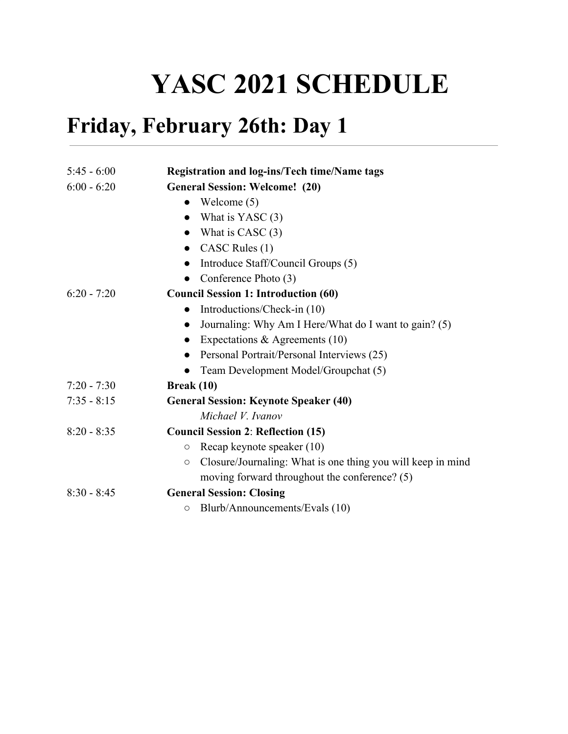## **YASC 2021 SCHEDULE**

## **Friday, February 26th: Day 1**

| $5:45 - 6:00$ | Registration and log-ins/Tech time/Name tags                           |
|---------------|------------------------------------------------------------------------|
| $6:00 - 6:20$ | <b>General Session: Welcome!</b> (20)                                  |
|               | Welcome $(5)$<br>$\bullet$                                             |
|               | What is YASC $(3)$<br>$\bullet$                                        |
|               | What is CASC $(3)$                                                     |
|               | CASC Rules (1)<br>$\bullet$                                            |
|               | Introduce Staff/Council Groups (5)                                     |
|               | Conference Photo (3)                                                   |
| $6:20 - 7:20$ | <b>Council Session 1: Introduction (60)</b>                            |
|               | Introductions/Check-in (10)<br>$\bullet$                               |
|               | Journaling: Why Am I Here/What do I want to gain? (5)<br>$\bullet$     |
|               | Expectations & Agreements $(10)$<br>$\bullet$                          |
|               | Personal Portrait/Personal Interviews (25)                             |
|               | Team Development Model/Groupchat (5)<br>$\bullet$                      |
| $7:20 - 7:30$ | <b>Break</b> $(10)$                                                    |
| $7:35 - 8:15$ | <b>General Session: Keynote Speaker (40)</b>                           |
|               | Michael V. Ivanov                                                      |
| $8:20 - 8:35$ | <b>Council Session 2: Reflection (15)</b>                              |
|               | Recap keynote speaker (10)<br>$\circ$                                  |
|               | Closure/Journaling: What is one thing you will keep in mind<br>$\circ$ |
|               | moving forward throughout the conference? (5)                          |
| $8:30 - 8:45$ | <b>General Session: Closing</b>                                        |
|               | Blurb/Announcements/Evals (10)<br>$\circ$                              |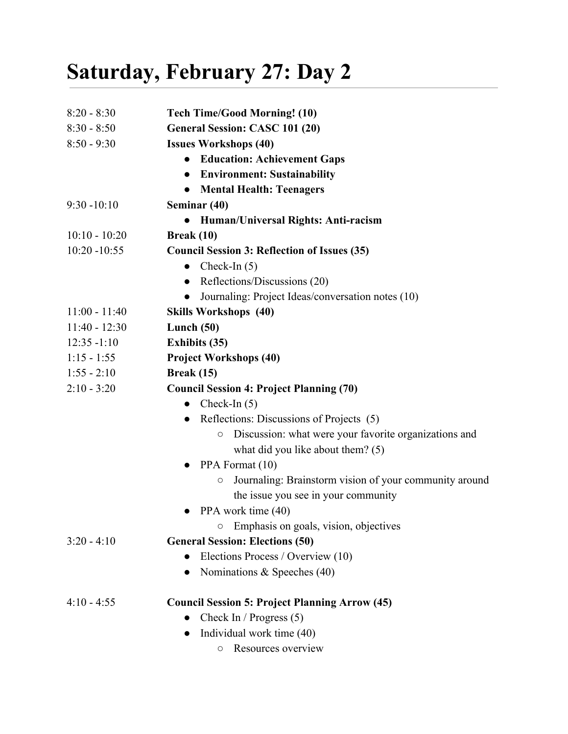## **Saturday, February 27: Day 2**

| $8:20 - 8:30$   | <b>Tech Time/Good Morning! (10)</b>                                  |  |
|-----------------|----------------------------------------------------------------------|--|
| $8:30 - 8:50$   | General Session: CASC 101 (20)                                       |  |
| $8:50 - 9:30$   | <b>Issues Workshops (40)</b>                                         |  |
|                 | <b>Education: Achievement Gaps</b><br>$\bullet$                      |  |
|                 | <b>Environment: Sustainability</b><br>$\bullet$                      |  |
|                 | <b>Mental Health: Teenagers</b>                                      |  |
| $9:30 - 10:10$  | Seminar (40)                                                         |  |
|                 | Human/Universal Rights: Anti-racism<br>$\bullet$                     |  |
| $10:10 - 10:20$ | Break $(10)$                                                         |  |
| $10:20 - 10:55$ | <b>Council Session 3: Reflection of Issues (35)</b>                  |  |
|                 | Check-In $(5)$<br>$\bullet$                                          |  |
|                 | Reflections/Discussions (20)<br>$\bullet$                            |  |
|                 | Journaling: Project Ideas/conversation notes (10)                    |  |
| $11:00 - 11:40$ | <b>Skills Workshops (40)</b>                                         |  |
| $11:40 - 12:30$ | Lunch $(50)$                                                         |  |
| $12:35 - 1:10$  | <b>Exhibits (35)</b>                                                 |  |
| $1:15 - 1:55$   | <b>Project Workshops (40)</b>                                        |  |
| $1:55 - 2:10$   | <b>Break</b> (15)                                                    |  |
| $2:10 - 3:20$   | <b>Council Session 4: Project Planning (70)</b>                      |  |
|                 | Check-In $(5)$<br>$\bullet$                                          |  |
|                 | • Reflections: Discussions of Projects $(5)$                         |  |
|                 | Discussion: what were your favorite organizations and<br>O           |  |
|                 | what did you like about them? $(5)$                                  |  |
|                 | PPA Format (10)<br>$\bullet$                                         |  |
|                 | Journaling: Brainstorm vision of your community around<br>$\bigcirc$ |  |
|                 | the issue you see in your community                                  |  |
|                 | PPA work time (40)                                                   |  |
|                 | Emphasis on goals, vision, objectives<br>O                           |  |
| $3:20 - 4:10$   | <b>General Session: Elections (50)</b>                               |  |
|                 | Elections Process / Overview (10)                                    |  |
|                 | Nominations & Speeches $(40)$                                        |  |
| $4:10 - 4:55$   | <b>Council Session 5: Project Planning Arrow (45)</b>                |  |
|                 | Check In / Progress (5)                                              |  |
|                 | Individual work time (40)                                            |  |
|                 | Resources overview<br>O                                              |  |
|                 |                                                                      |  |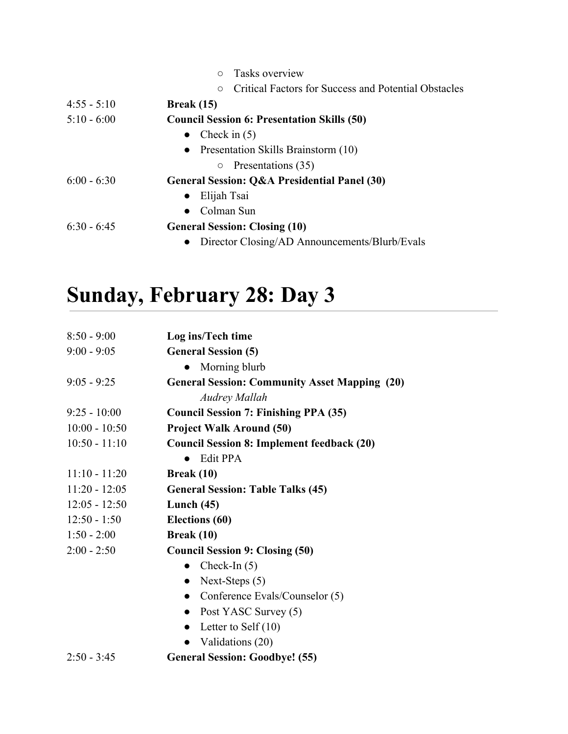|               | Tasks overview<br>$\circ$                                       |
|---------------|-----------------------------------------------------------------|
|               | Critical Factors for Success and Potential Obstacles<br>$\circ$ |
| $4:55 - 5:10$ | <b>Break</b> (15)                                               |
| $5:10 - 6:00$ | <b>Council Session 6: Presentation Skills (50)</b>              |
|               | • Check in $(5)$                                                |
|               | • Presentation Skills Brainstorm $(10)$                         |
|               | Presentations (35)<br>$\circ$                                   |
| $6:00 - 6:30$ | General Session: Q&A Presidential Panel (30)                    |
|               | Elijah Tsai<br>$\bullet$                                        |
|               | Colman Sun<br>$\bullet$                                         |
| $6:30 - 6:45$ | <b>General Session: Closing (10)</b>                            |
|               | Director Closing/AD Announcements/Blurb/Evals                   |

## **Sunday, February 28: Day 3**

| $8:50 - 9:00$   | Log ins/Tech time                                    |
|-----------------|------------------------------------------------------|
| $9:00 - 9:05$   | <b>General Session (5)</b>                           |
|                 | Morning blurb                                        |
| $9:05 - 9:25$   | <b>General Session: Community Asset Mapping (20)</b> |
|                 | <b>Audrey Mallah</b>                                 |
| $9:25 - 10:00$  | <b>Council Session 7: Finishing PPA (35)</b>         |
| $10:00 - 10:50$ | <b>Project Walk Around (50)</b>                      |
| $10:50 - 11:10$ | <b>Council Session 8: Implement feedback (20)</b>    |
|                 | <b>Edit PPA</b>                                      |
| $11:10 - 11:20$ | Break $(10)$                                         |
| $11:20 - 12:05$ | <b>General Session: Table Talks (45)</b>             |
| $12:05 - 12:50$ | Lunch $(45)$                                         |
| $12:50 - 1:50$  | Elections (60)                                       |
| $1:50 - 2:00$   | Break (10)                                           |
| $2:00 - 2:50$   | <b>Council Session 9: Closing (50)</b>               |
|                 | Check-In $(5)$<br>$\bullet$                          |
|                 | Next-Steps $(5)$<br>$\bullet$                        |
|                 | Conference Evals/Counselor (5)<br>$\bullet$          |
|                 | Post YASC Survey (5)<br>$\bullet$                    |
|                 | Letter to Self $(10)$<br>$\bullet$                   |
|                 | Validations (20)<br>$\bullet$                        |
| $2:50 - 3:45$   | <b>General Session: Goodbye! (55)</b>                |